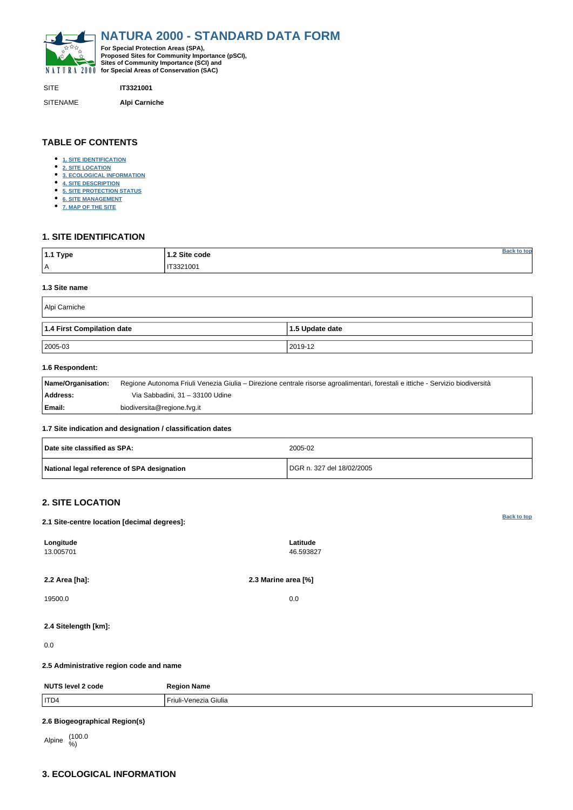**[Back to top](#page-0-0)**

<span id="page-0-0"></span>

SITE **IT3321001** SITENAME **Alpi Carniche**

| 1.1 Type | 1.2 Site code | ı tor |
|----------|---------------|-------|
| -<br>ΙA  | IT3321001     |       |

**TABLE OF CONTENTS**

- **[1. SITE IDENTIFICATION](#page-0-1)**
- **[2. SITE LOCATION](#page-0-2)**
- **[3. ECOLOGICAL INFORMATION](#page-0-3)**
- **[4. SITE DESCRIPTION](#page-4-0)**
- **[5. SITE PROTECTION STATUS](#page-6-0)**
- **[6. SITE MANAGEMENT](#page-6-1)**
- **[7. MAP OF THE SITE](#page-6-2)**

# <span id="page-0-1"></span>**1. SITE IDENTIFICATION**

#### **1.3 Site name**

| Alpi Carniche              |                 |  |  |  |  |  |  |
|----------------------------|-----------------|--|--|--|--|--|--|
| 1.4 First Compilation date | 1.5 Update date |  |  |  |  |  |  |
| $ 2005-03 $                | 2019-12         |  |  |  |  |  |  |

### **1.6 Respondent:**

| Name/Organisation: | Regione Autonoma Friuli Venezia Giulia – Direzione centrale risorse agroalimentari, forestali e ittiche - Servizio biodiversità |
|--------------------|---------------------------------------------------------------------------------------------------------------------------------|
| Address:           | Via Sabbadini, 31 - 33100 Udine                                                                                                 |
| Email:             | biodiversita@regione.fvg.it                                                                                                     |

### **1.7 Site indication and designation / classification dates**

| Date site classified as SPA:                | 2005-02                   |
|---------------------------------------------|---------------------------|
| National legal reference of SPA designation | DGR n. 327 del 18/02/2005 |

# <span id="page-0-2"></span>**2. SITE LOCATION**

### **2.1 Site-centre location [decimal degrees]:**

**Longitude** 13.005701

**Latitude** 46.593827

# **2.4 Sitelength [km]:**

### 0.0

### **2.5 Administrative region code and name**

| <b>NUTS level 2 code</b> | <b>Region Name</b>    |
|--------------------------|-----------------------|
|                          |                       |
| ITD4                     | Friuli-Venezia Giulia |

## **2.6 Biogeographical Region(s)**

Alpine (100.0)

# <span id="page-0-3"></span>**3. ECOLOGICAL INFORMATION**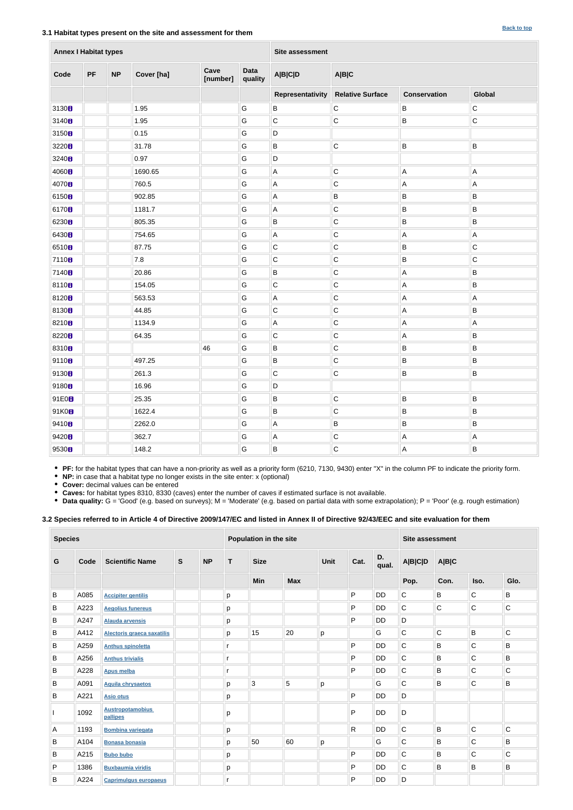### **3.1 Habitat types present on the site and assessment for them**

| <b>Annex I Habitat types</b> |           |           |            |                  |                        | Site assessment  |                         |                           |             |  |  |  |
|------------------------------|-----------|-----------|------------|------------------|------------------------|------------------|-------------------------|---------------------------|-------------|--|--|--|
| Code                         | <b>PF</b> | <b>NP</b> | Cover [ha] | Cave<br>[number] | <b>Data</b><br>quality | <b>A B C D</b>   | A B C                   |                           |             |  |  |  |
|                              |           |           |            |                  |                        | Representativity | <b>Relative Surface</b> | <b>Conservation</b>       | Global      |  |  |  |
| 3130 <sub>8</sub>            |           |           | 1.95       |                  | G                      | $\sf B$          | $\mathsf C$             | B                         | $\mathsf C$ |  |  |  |
| 3140 <sub>B</sub>            |           |           | 1.95       |                  | ${\mathsf G}$          | $\mathsf C$      | $\mathsf C$             | $\sf B$                   | С           |  |  |  |
| 3150 <sub>8</sub>            |           |           | 0.15       |                  | G                      | $\mathsf D$      |                         |                           |             |  |  |  |
| 3220B                        |           |           | 31.78      |                  | G                      | $\sf B$          | $\mathsf C$             | $\sf B$                   | Β           |  |  |  |
| 3240 <sub>8</sub>            |           |           | 0.97       |                  | G                      | $\mathsf D$      |                         |                           |             |  |  |  |
| 4060 <sub>B</sub>            |           |           | 1690.65    |                  | G                      | $\mathsf A$      | $\mathsf C$             | Α                         | А           |  |  |  |
| 4070 <sub>8</sub>            |           |           | 760.5      |                  | G                      | $\mathsf A$      | $\mathsf C$             | $\boldsymbol{\mathsf{A}}$ | А           |  |  |  |
| 6150 <sub>B</sub>            |           |           | 902.85     |                  | G                      | $\mathsf A$      | $\sf B$                 | $\sf B$                   | B           |  |  |  |
| 6170 <sub>8</sub>            |           |           | 1181.7     |                  | ${\mathsf G}$          | $\mathsf A$      | $\mathsf C$<br>$\sf B$  |                           | В           |  |  |  |
| 6230 <sub>8</sub>            |           |           | 805.35     |                  | ${\mathsf G}$          | $\sf B$          | $\mathsf C$             | $\sf B$                   | B           |  |  |  |
| 6430 <sub>8</sub>            |           |           | 754.65     |                  | ${\mathsf G}$          | $\mathsf A$      | $\mathsf C$             | A                         | А           |  |  |  |
| 65108                        |           |           | 87.75      |                  | ${\mathsf G}$          | $\mathsf C$      | $\mathsf{C}$            | B                         | $\mathsf C$ |  |  |  |
| 7110 <sub>8</sub>            |           |           | $7.8\,$    |                  | ${\mathsf G}$          | $\mathsf C$      | $\mathsf C$             | B                         | C           |  |  |  |
| 7140 <sub>8</sub>            |           |           | 20.86      |                  | G                      | $\sf B$          | $\mathsf C$             | $\overline{A}$            | B           |  |  |  |
| 81108                        |           |           | 154.05     |                  | G                      | $\mathsf C$      | $\mathsf C$             | $\overline{A}$            | B           |  |  |  |
| 81208                        |           |           | 563.53     |                  | G                      | $\mathsf A$      | $\mathsf C$             | A                         | А           |  |  |  |
| 8130 <sub>8</sub>            |           |           | 44.85      |                  | G                      | $\mathsf C$      | $\mathsf C$             | A                         | B           |  |  |  |
| 82108                        |           |           | 1134.9     |                  | G                      | $\mathsf A$      | C                       | A                         | А           |  |  |  |
| 8220 <sub>8</sub>            |           |           | 64.35      |                  | G                      | $\mathsf C$      | $\mathsf C$             | A                         | Β           |  |  |  |
| 8310 <sub>B</sub>            |           |           |            | 46               | ${\mathsf G}$          | $\overline{B}$   | C                       | B                         | B           |  |  |  |
| 9110B                        |           |           | 497.25     |                  | G                      | B                | ${\bf C}$               | B                         | B           |  |  |  |
| 9130H                        |           |           | 261.3      |                  | G                      | $\mathsf C$      | $\overline{C}$          | B                         | $\sf B$     |  |  |  |
| 9180 <sub>8</sub>            |           |           | 16.96      |                  | G                      | D                |                         |                           |             |  |  |  |
| 91E0B                        |           |           | 25.35      |                  | ${\mathsf G}$          | $\, {\sf B}$     | $\vert$ C               | B                         | B           |  |  |  |
| 91K0 <sub>8</sub>            |           |           | 1622.4     |                  | G                      | $\, {\sf B}$     | $\mathsf C$             | B                         | В           |  |  |  |
| 9410B                        |           |           | 2262.0     |                  | G                      | $\mathsf{A}$     | B                       | B                         | B           |  |  |  |
| 9420H                        |           |           | 362.7      |                  | G                      | $\mathsf A$      | $\mathsf C$             | $\overline{A}$            | А           |  |  |  |
| 9530H                        |           |           | 148.2      |                  | G                      | B                | $ {\rm c} $             | $\overline{A}$            | B           |  |  |  |

**PF:** for the habitat types that can have a non-priority as well as a priority form (6210, 7130, 9430) enter "X" in the column PF to indicate the priority form.

**NP:** in case that a habitat type no longer exists in the site enter: x (optional)

**Cover:** decimal values can be entered

**Caves:** for habitat types 8310, 8330 (caves) enter the number of caves if estimated surface is not available.

• Data quality: G = 'Good' (e.g. based on surveys); M = 'Moderate' (e.g. based on partial data with some extrapolation); P = 'Poor' (e.g. rough estimation)

### **3.2 Species referred to in Article 4 of Directive 2009/147/EC and listed in Annex II of Directive 92/43/EEC and site evaluation for them**

| <b>Species</b> |      |                                     |   |           | Population in the site |              |            | <b>Site assessment</b> |              |           |             |             |             |              |  |  |  |             |      |             |                |       |  |  |
|----------------|------|-------------------------------------|---|-----------|------------------------|--------------|------------|------------------------|--------------|-----------|-------------|-------------|-------------|--------------|--|--|--|-------------|------|-------------|----------------|-------|--|--|
| G              | Code | <b>Scientific Name</b>              | S | <b>NP</b> | T                      | <b>Size</b>  |            |                        |              |           |             |             |             |              |  |  |  | <b>Unit</b> | Cat. | D.<br>qual. | <b>A B C D</b> | A B C |  |  |
|                |      |                                     |   |           |                        | Min          | <b>Max</b> |                        |              |           | Pop.        | Con.        | Iso.        | Glo.         |  |  |  |             |      |             |                |       |  |  |
| B              | A085 | <b>Accipiter gentilis</b>           |   |           | p                      |              |            |                        | P            | <b>DD</b> | C           | B           | $\mathsf C$ | B            |  |  |  |             |      |             |                |       |  |  |
| B              | A223 | <b>Aegolius funereus</b>            |   |           | p                      |              |            |                        | P            | <b>DD</b> | $\mathsf C$ | $\mathsf C$ | $\mathbf C$ | $\mathsf C$  |  |  |  |             |      |             |                |       |  |  |
| B              | A247 | <b>Alauda arvensis</b>              |   |           | p                      |              |            |                        | $\mathsf{P}$ | <b>DD</b> | D           |             |             |              |  |  |  |             |      |             |                |       |  |  |
| B              | A412 | Alectoris graeca saxatilis          |   |           | p                      | 15           | 20         | p                      |              | G         | C           | $\mathbf C$ | $\sf B$     | $\mathsf{C}$ |  |  |  |             |      |             |                |       |  |  |
| B              | A259 | <b>Anthus spinoletta</b>            |   |           | $\mathsf{r}$           |              |            |                        | $\mathsf{P}$ | <b>DD</b> | $\mathsf C$ | B           | $\mathsf C$ | B            |  |  |  |             |      |             |                |       |  |  |
| B              | A256 | <b>Anthus trivialis</b>             |   |           | $\mathsf{r}$           |              |            |                        | ${\sf P}$    | <b>DD</b> | C           | B           | $\mathsf C$ | B            |  |  |  |             |      |             |                |       |  |  |
| B              | A228 | <b>Apus melba</b>                   |   |           | r                      |              |            |                        | P            | <b>DD</b> | C           | B           | $\mathsf C$ | C            |  |  |  |             |      |             |                |       |  |  |
| B              | A091 | <b>Aquila chrysaetos</b>            |   |           | p                      | $\mathbf{3}$ | 5          | р                      |              | G         | $\mathsf C$ | B           | $\mathsf C$ | B            |  |  |  |             |      |             |                |       |  |  |
| B              | A221 | <b>Asio otus</b>                    |   |           | p                      |              |            |                        | P            | <b>DD</b> | D           |             |             |              |  |  |  |             |      |             |                |       |  |  |
|                | 1092 | <b>Austropotamobius</b><br>pallipes |   |           | р                      |              |            |                        | $\mathsf{P}$ | <b>DD</b> | D           |             |             |              |  |  |  |             |      |             |                |       |  |  |
| A              | 1193 | <b>Bombina variegata</b>            |   |           | p                      |              |            |                        | $\mathsf{R}$ | <b>DD</b> | C           | B           | $\mathsf C$ | $\mathsf C$  |  |  |  |             |      |             |                |       |  |  |
| B              | A104 | <b>Bonasa bonasia</b>               |   |           | p                      | 50           | 60         | p                      |              | G         | $\mathsf C$ | B           | $\mathsf C$ | B            |  |  |  |             |      |             |                |       |  |  |
| B              | A215 | <b>Bubo bubo</b>                    |   |           | p                      |              |            |                        | $\mathsf{P}$ | <b>DD</b> | C           | B           | $\mathsf C$ | C            |  |  |  |             |      |             |                |       |  |  |
| P              | 1386 | <b>Buxbaumia viridis</b>            |   |           | p                      |              |            |                        | P            | <b>DD</b> | C           | B           | B           | B            |  |  |  |             |      |             |                |       |  |  |
| B              | A224 | <b>Caprimulgus europaeus</b>        |   |           | r                      |              |            |                        | $\mathsf{P}$ | <b>DD</b> | D           |             |             |              |  |  |  |             |      |             |                |       |  |  |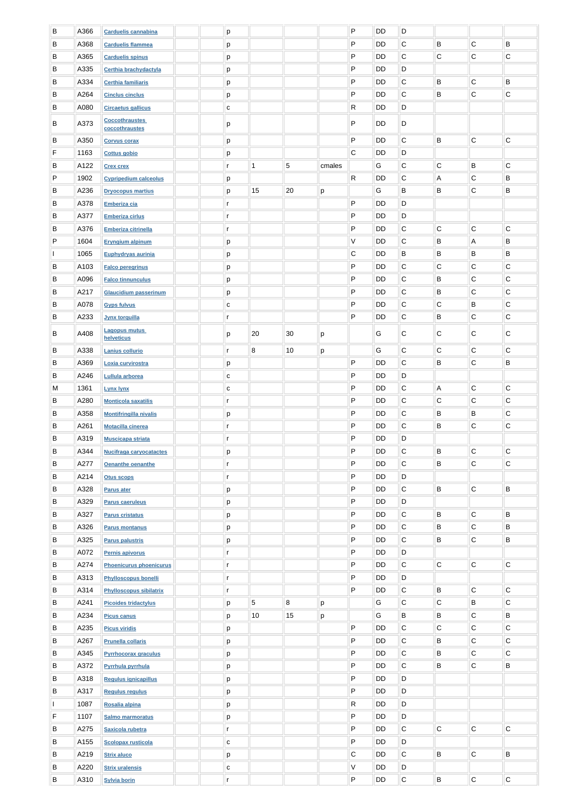| B         | A366 | <b>Carduelis cannabina</b>              |  | p            |    |            |        | P            | <b>DD</b> | D            |             |                |             |
|-----------|------|-----------------------------------------|--|--------------|----|------------|--------|--------------|-----------|--------------|-------------|----------------|-------------|
| B         | A368 | <b>Carduelis flammea</b>                |  | p            |    |            |        | ${\sf P}$    | <b>DD</b> | $\mathsf C$  | B           | $\overline{C}$ | B           |
| B         | A365 | <b>Carduelis spinus</b>                 |  | p            |    |            |        | P            | DD        | $\mathsf C$  | С           | $\mathsf C$    | C           |
| B         | A335 | Certhia brachydactyla                   |  | p            |    |            |        | P            | DD        | D            |             |                |             |
| B         | A334 | <b>Certhia familiaris</b>               |  | p            |    |            |        | P            | <b>DD</b> | $\mathsf C$  | B           | $\overline{C}$ | B           |
| B         | A264 | <b>Cinclus cinclus</b>                  |  | p            |    |            |        | P            | DD        | $\mathsf C$  | B           | $\mathsf C$    | $\mathsf C$ |
| В         | A080 | <b>Circaetus gallicus</b>               |  | С            |    |            |        | R            | DD        | $\mathsf D$  |             |                |             |
|           |      |                                         |  |              |    |            |        |              |           |              |             |                |             |
| B         | A373 | <b>Coccothraustes</b><br>coccothraustes |  | р            |    |            |        | P            | <b>DD</b> | D            |             |                |             |
| B         | A350 | <b>Corvus corax</b>                     |  | р            |    |            |        | P            | DD        | $\mathsf C$  | B           | $\overline{C}$ | $\mathbf C$ |
| F         | 1163 | <b>Cottus gobio</b>                     |  |              |    |            |        | $\mathsf{C}$ | DD        | D            |             |                |             |
|           |      |                                         |  | p            |    |            |        |              |           |              |             |                |             |
| B         | A122 | <b>Crex crex</b>                        |  | $\mathsf{r}$ | 1  | $\sqrt{5}$ | cmales |              | G         | $\mathsf{C}$ | $\mathsf C$ | B              | ${\bf C}$   |
| P         | 1902 | <b>Cypripedium calceolus</b>            |  | p            |    |            |        | R            | DD        | $\mathsf C$  | A           | C              | B           |
| B         | A236 | <b>Dryocopus martius</b>                |  | p            | 15 | 20         | p      |              | G         | B            | B           | $\mathsf C$    | B           |
| B         | A378 | <b>Emberiza cia</b>                     |  | r            |    |            |        | P            | <b>DD</b> | D            |             |                |             |
| B         | A377 | <b>Emberiza cirlus</b>                  |  | $\mathsf{r}$ |    |            |        | P            | DD        | D            |             |                |             |
| B         | A376 | <b>Emberiza citrinella</b>              |  | $\mathsf{r}$ |    |            |        | P            | DD        | $\mathsf C$  | $\mathsf C$ | $\mathsf C$    | $\mathsf C$ |
| ${\sf P}$ | 1604 | <b>Eryngium alpinum</b>                 |  | p            |    |            |        | V            | DD        | $\mathsf C$  | B           | $\overline{A}$ | B           |
|           | 1065 | Euphydryas aurinia                      |  | р            |    |            |        | C            | DD        | B            | B           | B              | B           |
| B         | A103 | <b>Falco peregrinus</b>                 |  | р            |    |            |        | P            | DD        | $\mathsf C$  | C           | C              | $\mathbf C$ |
| B         | A096 | <b>Falco tinnunculus</b>                |  |              |    |            |        | P            | DD        | $\mathbf C$  | B           | C              | C           |
|           |      |                                         |  | p            |    |            |        |              |           |              |             |                |             |
| B         | A217 | <b>Glaucidium passerinum</b>            |  | p            |    |            |        | P            | DD        | $\mathsf{C}$ | B           | C              | С           |
| B         | A078 | <b>Gyps fulvus</b>                      |  | ${\bf c}$    |    |            |        | P            | DD        | $\mathsf C$  | $\mathsf C$ | B              | С           |
| B         | A233 | <b>Jynx torquilla</b>                   |  | $\mathsf{r}$ |    |            |        | P            | DD        | $\mathsf C$  | B           | $\mathsf C$    | $\mathsf C$ |
| В         | A408 | <b>Lagopus mutus</b>                    |  | р            | 20 | 30         | р      |              | G         | $\mathsf C$  | C           | $\mathsf C$    | ${\bf C}$   |
|           |      | helveticus                              |  |              |    |            |        |              |           |              |             |                |             |
| B         | A338 | Lanius collurio                         |  | $\mathbf{r}$ | 8  | 10         | р      |              | G         | $\mathsf C$  | $\mathsf C$ | $\overline{C}$ | $\mathsf C$ |
| B         | A369 | Loxia curvirostra                       |  | p            |    |            |        | P            | <b>DD</b> | $\mathsf C$  | B           | $\mathsf C$    | B           |
| B         | A246 | Lullula arborea                         |  | ${\bf C}$    |    |            |        | P            | DD        | D            |             |                |             |
| M         | 1361 | <b>Lynx lynx</b>                        |  | ${\bf c}$    |    |            |        | P            | DD        | $\mathsf C$  | A           | $\overline{C}$ | $\mathsf C$ |
| B         | A280 | <b>Monticola saxatilis</b>              |  | $\mathsf{r}$ |    |            |        | P            | DD        | $\mathsf C$  | $\mathsf C$ | $\overline{C}$ | $\mathsf C$ |
| B         | A358 | <b>Montifringilla nivalis</b>           |  | р            |    |            |        | P            | DD        | $\mathsf C$  | B           | B              | C           |
| B         | A261 | <b>Motacilla cinerea</b>                |  | $\mathsf{r}$ |    |            |        | P            | DD        | $\mathbf C$  | B           | $\overline{C}$ | $\mathbf C$ |
| B         | A319 | <b>Muscicapa striata</b>                |  | $\mathsf{r}$ |    |            |        | P            | DD        | D            |             |                |             |
| B         | A344 | <b>Nucifraga caryocatactes</b>          |  | p            |    |            |        | P            | DD        | $\mathsf{C}$ | B           | C              | $\mathsf C$ |
|           | A277 |                                         |  |              |    |            |        | P            | DD        | $\mathsf C$  | B           | $\overline{C}$ | $\mathbf C$ |
| B         |      | <b>Oenanthe oenanthe</b>                |  | $\mathsf{r}$ |    |            |        |              |           |              |             |                |             |
| B         | A214 | <b>Otus scops</b>                       |  | $\mathsf{r}$ |    |            |        | P            | <b>DD</b> | D            |             |                |             |
| B         | A328 | Parus ater                              |  | p            |    |            |        | P            | DD        | $\mathsf C$  | B           | $\overline{C}$ | $\sf B$     |
| B         | A329 | <b>Parus caeruleus</b>                  |  | p            |    |            |        | P            | DD        | D            |             |                |             |
| B         | A327 | <b>Parus cristatus</b>                  |  | p            |    |            |        | P            | DD        | $\mathsf C$  | B           | $\mathbf C$    | $\sf B$     |
| B         | A326 | <b>Parus montanus</b>                   |  | p            |    |            |        | P            | DD        | $\mathsf C$  | B           | $\overline{C}$ | B           |
| B         | A325 | <b>Parus palustris</b>                  |  | p            |    |            |        | P            | DD        | $\mathsf C$  | B           | $\mathsf C$    | $\sf B$     |
| B         | A072 | Pernis apivorus                         |  | $\mathsf{r}$ |    |            |        | P            | DD        | $\mathsf D$  |             |                |             |
| B         | A274 | <b>Phoenicurus phoenicurus</b>          |  | $\mathsf{r}$ |    |            |        | P            | DD        | $\mathbf C$  | $\mathsf C$ | $\overline{C}$ | $\mathbf C$ |
| B         | A313 | Phylloscopus bonelli                    |  | $\mathsf{r}$ |    |            |        | P            | DD        | D            |             |                |             |
| B         | A314 | <b>Phylloscopus sibilatrix</b>          |  | $\mathsf{r}$ |    |            |        | P            | DD        | $\mathsf C$  | B           | C              | ${\bf C}$   |
| B         | A241 |                                         |  |              | 5  | 8          |        |              | G         | $\mathsf C$  | $\mathsf C$ | B              | $\mathsf C$ |
|           |      | <b>Picoides tridactylus</b>             |  | р            |    |            | p      |              |           |              |             |                |             |
| B         | A234 | <b>Picus canus</b>                      |  | р            | 10 | 15         | р      |              | G         | B            | B           | $\mathbf C$    | B           |
| B         | A235 | <b>Picus viridis</b>                    |  | p            |    |            |        | P            | DD        | C            | С           | $\mathsf C$    | C           |
| B         | A267 | <b>Prunella collaris</b>                |  | p            |    |            |        | P            | DD        | $\mathsf{C}$ | B           | $\mathsf{C}$   | $\mathbf C$ |
| B         | A345 | <b>Pyrrhocorax graculus</b>             |  | p            |    |            |        | P            | DD        | $\mathsf C$  | B           | $\overline{C}$ | C           |
| B         | A372 | Pyrrhula pyrrhula                       |  | p            |    |            |        | P            | DD        | $\mathsf C$  | B           | $\overline{C}$ | $\mathsf B$ |
| B         | A318 | Regulus ignicapillus                    |  | р            |    |            |        | P            | DD        | D            |             |                |             |
| B         | A317 | <b>Regulus regulus</b>                  |  | p            |    |            |        | P            | <b>DD</b> | D            |             |                |             |
|           | 1087 | Rosalia alpina                          |  | p            |    |            |        | R            | DD        | D            |             |                |             |
| F         | 1107 | <b>Salmo marmoratus</b>                 |  | p            |    |            |        | P            | DD        | D            |             |                |             |
|           |      |                                         |  |              |    |            |        | P            | DD        | $\mathsf C$  | $\mathsf C$ | $\overline{C}$ | $\mathbf C$ |
| B         | A275 | Saxicola rubetra                        |  | $\mathsf{r}$ |    |            |        |              |           |              |             |                |             |
| B         | A155 | <b>Scolopax rusticola</b>               |  | ${\bf c}$    |    |            |        | P            | DD        | D            |             |                |             |
| B         | A219 | <b>Strix aluco</b>                      |  | p            |    |            |        | $\mathsf C$  | DD        | $\mathbf C$  | B           | $\overline{C}$ | B           |
| B         | A220 | <b>Strix uralensis</b>                  |  | $\mathtt{C}$ |    |            |        | V            | DD        | D            |             |                |             |
| B         | A310 | <b>Sylvia borin</b>                     |  | $\mathsf{r}$ |    |            |        | P            | DD        | $\mathbf C$  | B           | $\mathsf{C}$   | $\mathsf C$ |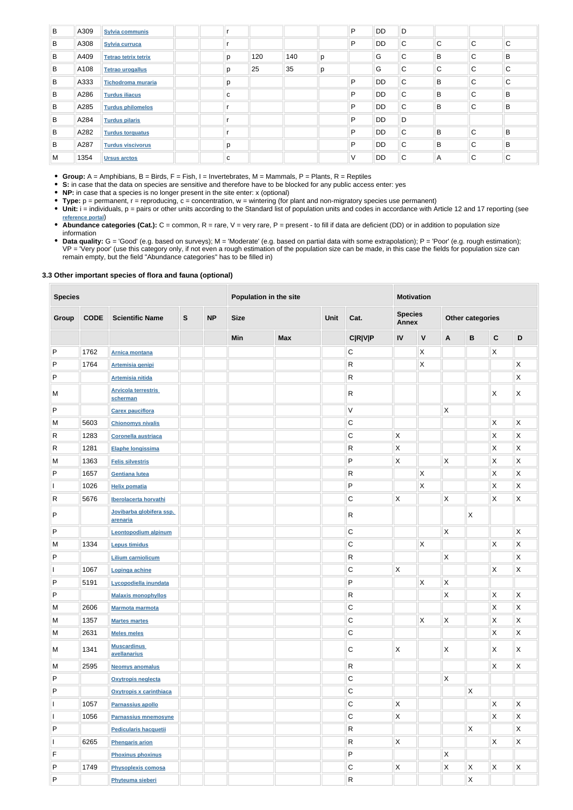| B | A309 | <b>Sylvia communis</b>   |   |     |     |   | P | <b>DD</b> | D           |              |              |   |
|---|------|--------------------------|---|-----|-----|---|---|-----------|-------------|--------------|--------------|---|
| B | A308 | Sylvia curruca           |   |     |     |   | P | <b>DD</b> | C           | $\mathsf{C}$ | $\mathsf{C}$ | C |
| В | A409 | Tetrao tetrix tetrix     | p | 120 | 140 | p |   | G         | C           | B            | C            | B |
| B | A108 | <b>Tetrao urogallus</b>  | p | 25  | 35  | р |   | G         | C           | $\mathsf{C}$ | C            | C |
| B | A333 | Tichodroma muraria       | р |     |     |   | P | <b>DD</b> | C           | B            | $\mathsf{C}$ | C |
| B | A286 | <b>Turdus iliacus</b>    | C |     |     |   | P | <b>DD</b> | C           | B            | $\mathsf{C}$ | B |
| B | A285 | <b>Turdus philomelos</b> |   |     |     |   | P | <b>DD</b> | C           | B            | $\mathsf{C}$ | B |
| B | A284 | <b>Turdus pilaris</b>    |   |     |     |   | P | <b>DD</b> | D           |              |              |   |
| B | A282 | <b>Turdus torquatus</b>  |   |     |     |   | P | <b>DD</b> | $\mathsf C$ | B            | $\mathsf{C}$ | B |
| В | A287 | <b>Turdus viscivorus</b> | p |     |     |   | P | <b>DD</b> | C           | B            | $\mathsf{C}$ | B |
| M | 1354 | <b>Ursus arctos</b>      | C |     |     |   | V | DD        | C           | A            | C            | C |

**Group:** A = Amphibians, B = Birds, F = Fish, I = Invertebrates, M = Mammals, P = Plants, R = Reptiles

• Unit: i = individuals, p = pairs or other units according to the Standard list of population units and codes in accordance with Article 12 and 17 reporting (see **[reference portal](http://bd.eionet.europa.eu/activities/Natura_2000/reference_portal)**)

**S:** in case that the data on species are sensitive and therefore have to be blocked for any public access enter: yes

- **NP:** in case that a species is no longer present in the site enter: x (optional)
- **Type:** p = permanent, r = reproducing, c = concentration, w = wintering (for plant and non-migratory species use permanent)

- Abundance categories (Cat.): C = common, R = rare, V = very rare, P = present to fill if data are deficient (DD) or in addition to population size information
- **Data quality:** G = 'Good' (e.g. based on surveys); M = 'Moderate' (e.g. based on partial data with some extrapolation); P = 'Poor' (e.g. rough estimation); VP = 'Very poor' (use this category only, if not even a rough estimation of the population size can be made, in this case the fields for population size can remain empty, but the field "Abundance categories" has to be filled in)

### **3.3 Other important species of flora and fauna (optional)**

| <b>Species</b> |             |                                        | Population in the site |           |             |            |      | <b>Motivation</b> |                                |                           |                           |                         |                           |              |
|----------------|-------------|----------------------------------------|------------------------|-----------|-------------|------------|------|-------------------|--------------------------------|---------------------------|---------------------------|-------------------------|---------------------------|--------------|
| Group          | <b>CODE</b> | <b>Scientific Name</b>                 | $\mathbf{s}$           | <b>NP</b> | <b>Size</b> |            | Unit | Cat.              | <b>Species</b><br><b>Annex</b> |                           |                           | <b>Other categories</b> |                           |              |
|                |             |                                        |                        |           | Min         | <b>Max</b> |      | <b>C R V P</b>    | IV                             | $\mathsf V$               | $\mathbf{A}$              | $\, {\bf B}$            | $\mathbf C$               | $\mathsf D$  |
| P              | 1762        | <b>Arnica montana</b>                  |                        |           |             |            |      | $\mathsf C$       |                                | $\mathsf{X}$              |                           |                         | X                         |              |
| ${\sf P}$      | 1764        | Artemisia genipi                       |                        |           |             |            |      | R                 |                                | $\mathsf{\overline{X}}$   |                           |                         |                           | X            |
| ${\sf P}$      |             | <b>Artemisia nitida</b>                |                        |           |             |            |      | R                 |                                |                           |                           |                         |                           | $\sf X$      |
| M              |             | <b>Arvicola terrestris</b><br>scherman |                        |           |             |            |      | R                 |                                |                           |                           |                         | X                         | Χ            |
| ${\sf P}$      |             | <b>Carex pauciflora</b>                |                        |           |             |            |      | V                 |                                |                           | $\mathsf X$               |                         |                           |              |
| M              | 5603        | <b>Chionomys nivalis</b>               |                        |           |             |            |      | $\mathsf C$       |                                |                           |                           |                         | $\mathsf X$               | $\mathsf X$  |
| $\mathsf{R}$   | 1283        | Coronella austriaca                    |                        |           |             |            |      | $\mathsf C$       | $\mathsf{\overline{X}}$        |                           |                           |                         | $\pmb{\times}$            | X            |
| $\mathsf{R}$   | 1281        | Elaphe longissima                      |                        |           |             |            |      | R                 | $\mathsf{X}$                   |                           |                           |                         | $\mathsf X$               | X            |
| M              | 1363        | <b>Felis silvestris</b>                |                        |           |             |            |      | P                 | $\mathsf{X}$                   |                           | X                         |                         | $\pmb{\times}$            | X            |
| $\mathsf{P}$   | 1657        | <b>Gentiana lutea</b>                  |                        |           |             |            |      | R                 |                                | $\mathsf{\overline{X}}$   |                           |                         | $\pmb{\times}$            | X            |
|                | 1026        | <b>Helix pomatia</b>                   |                        |           |             |            |      | P                 |                                | $\mathsf{\overline{X}}$   |                           |                         | $\boldsymbol{\mathsf{X}}$ | $\sf X$      |
| R              | 5676        | Iberolacerta horvathi                  |                        |           |             |            |      | $\mathsf C$       | Χ                              |                           | $\mathsf X$               |                         | $\mathsf X$               | $\sf X$      |
| P              |             | Jovibarba globifera ssp.<br>arenaria   |                        |           |             |            |      | R                 |                                |                           |                           | X                       |                           |              |
| ${\sf P}$      |             | <b>Leontopodium alpinum</b>            |                        |           |             |            |      | $\mathsf C$       |                                |                           | $\boldsymbol{\mathsf{X}}$ |                         |                           | X            |
| M              | 1334        | <b>Lepus timidus</b>                   |                        |           |             |            |      | С                 |                                | $\mathsf{\overline{X}}$   |                           |                         | $\mathsf X$               | $\sf X$      |
| ${\sf P}$      |             | <b>Lilium carniolicum</b>              |                        |           |             |            |      | ${\sf R}$         |                                |                           | $\mathsf X$               |                         |                           | $\sf X$      |
|                | 1067        | Lopinga achine                         |                        |           |             |            |      | $\mathsf C$       | $\mathsf{X}% _{0}$             |                           |                           |                         | $\mathsf X$               | $\mathsf X$  |
| P              | 5191        | Lycopodiella inundata                  |                        |           |             |            |      | P                 |                                | $\boldsymbol{\mathsf{X}}$ | $\mathsf X$               |                         |                           |              |
| ${\sf P}$      |             | <b>Malaxis monophyllos</b>             |                        |           |             |            |      | ${\sf R}$         |                                |                           | $\mathsf{\overline{X}}$   |                         | $\mathsf{X}$              | $\vert$ X    |
| M              | 2606        | <b>Marmota marmota</b>                 |                        |           |             |            |      | ${\bf C}$         |                                |                           |                           |                         | $\mathsf X$               | $\mathsf{X}$ |
| M              | 1357        | <b>Martes martes</b>                   |                        |           |             |            |      | ${\bf C}$         |                                | $\mathsf{X}$              | $\mathsf{X}$              |                         | $\mathsf X$               | $\mathsf{X}$ |
| M              | 2631        | <b>Meles meles</b>                     |                        |           |             |            |      | $\mathsf C$       |                                |                           |                           |                         | $\mathsf X$               | $\mathsf{X}$ |
| M              | 1341        | <b>Muscardinus</b><br>avellanarius     |                        |           |             |            |      | С                 | X                              |                           | $\mathsf{X}$              |                         | X                         | $\mathsf{X}$ |
| M              | 2595        | <b>Neomys anomalus</b>                 |                        |           |             |            |      | $\mathsf R$       |                                |                           |                           |                         | $\mathsf X$               | $\mathsf X$  |
| ${\sf P}$      |             | <b>Oxytropis neglecta</b>              |                        |           |             |            |      | $\mathsf C$       |                                |                           | $\boldsymbol{\mathsf{X}}$ |                         |                           |              |
| $\sf P$        |             | Oxytropis x carinthiaca                |                        |           |             |            |      | $\mathsf C$       |                                |                           |                           | X                       |                           |              |
|                | 1057        | Parnassius apollo                      |                        |           |             |            |      | $\mathsf C$       | $\mathsf{X}$                   |                           |                           |                         | $\boldsymbol{\mathsf{X}}$ | $\mathsf{X}$ |
|                | 1056        | <b>Parnassius mnemosyne</b>            |                        |           |             |            |      | $\mathsf C$       | $\mathsf{X}$                   |                           |                           |                         | $\mathsf X$               | $\mathsf X$  |
| ${\sf P}$      |             | Pedicularis hacquetii                  |                        |           |             |            |      | $\mathsf{R}$      |                                |                           |                           | $\mathsf{X}$            |                           | $\mathsf X$  |
|                | 6265        | <b>Phengaris arion</b>                 |                        |           |             |            |      | $\mathsf{R}$      | X                              |                           |                           |                         | $\mathsf X$               | $\mathsf{X}$ |
| F              |             | <b>Phoxinus phoxinus</b>               |                        |           |             |            |      | P                 |                                |                           | $\boldsymbol{\mathsf{X}}$ |                         |                           |              |
| ${\sf P}$      | 1749        | <b>Physoplexis comosa</b>              |                        |           |             |            |      | ${\bf C}$         | X.                             |                           | $\mathsf{X}$              | X                       | $\boldsymbol{\mathsf{X}}$ | X            |
| ${\sf P}$      |             | Phyteuma sieberi                       |                        |           |             |            |      | $\mathsf{R}$      |                                |                           |                           | $\mathsf X$             |                           |              |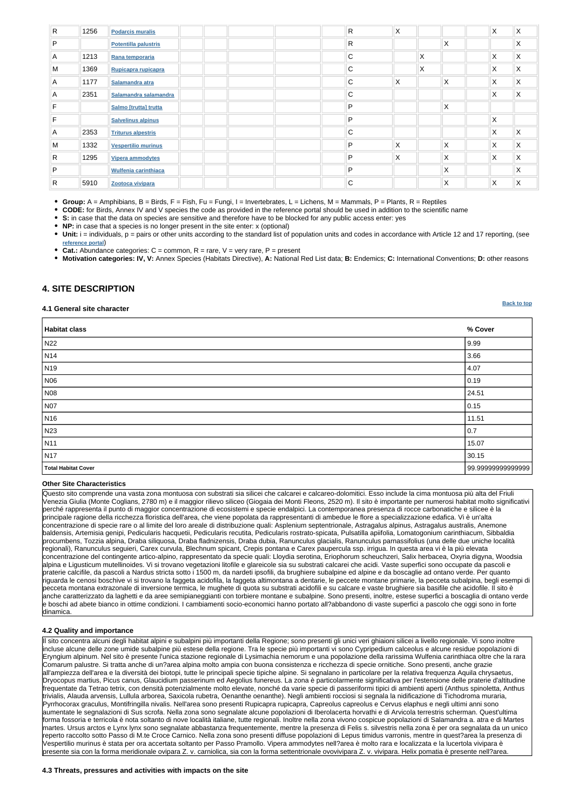## **[Back to top](#page-0-0)**

| $\overline{R}$ | 1256 | <b>Podarcis muralis</b>     | R.           | X |              |   | $\mathsf{X}$ | $\mathsf{X}$ |
|----------------|------|-----------------------------|--------------|---|--------------|---|--------------|--------------|
| $\mathsf{P}$   |      | <b>Potentilla palustris</b> | $\mathsf{R}$ |   |              | X |              | X            |
| $\overline{A}$ | 1213 | Rana temporaria             | $\mathsf{C}$ |   | $\mathsf{X}$ |   | X            | X            |
| M              | 1369 | Rupicapra rupicapra         | $\mathsf{C}$ |   | X.           |   | X            | X            |
| $\overline{A}$ | 1177 | Salamandra atra             | $\mathsf{C}$ | X |              | X | X            | X            |
| $\overline{A}$ | 2351 | Salamandra salamandra       | $\mathsf{C}$ |   |              |   | X            | X            |
| F              |      | Salmo [trutta] trutta       | P            |   |              | X |              |              |
| F              |      | <b>Salvelinus alpinus</b>   | P            |   |              |   | X            |              |
| A              | 2353 | <b>Triturus alpestris</b>   | C            |   |              |   | $\mathsf{X}$ | X            |
| M              | 1332 | <b>Vespertilio murinus</b>  | P            | X |              | X | X            | X            |
| $\mathsf{R}$   | 1295 | <b>Vipera ammodytes</b>     | P            | Χ |              | X | X            | X            |
| P              |      | <b>Wulfenia carinthiaca</b> | P            |   |              | X |              | X            |
| R              | 5910 | Zootoca vivipara            | $\mathsf{C}$ |   |              | X | X            | X            |

**Group:** A = Amphibians, B = Birds, F = Fish, Fu = Fungi, I = Invertebrates, L = Lichens, M = Mammals, P = Plants, R = Reptiles

• Unit: i = individuals, p = pairs or other units according to the standard list of population units and codes in accordance with Article 12 and 17 reporting, (see **[reference portal](http://bd.eionet.europa.eu/activities/Natura_2000/reference_portal)**)

**Cat.:** Abundance categories: C = common, R = rare, V = very rare, P = present

**CODE:** for Birds, Annex IV and V species the code as provided in the reference portal should be used in addition to the scientific name

**S:** in case that the data on species are sensitive and therefore have to be blocked for any public access enter: yes

**NP:** in case that a species is no longer present in the site enter: x (optional)

**Motivation categories: IV, V:** Annex Species (Habitats Directive), **A:** National Red List data; **B:** Endemics; **C:** International Conventions; **D:** other reasons

# <span id="page-4-0"></span>**4. SITE DESCRIPTION**

### **4.1 General site character**

| <b>Habitat class</b>       | % Cover           |
|----------------------------|-------------------|
| N22                        | 9.99              |
| $\vert$ N14                | 3.66              |
| N <sub>19</sub>            | 4.07              |
| N06                        | $ 0.19\rangle$    |
| N08                        | 24.51             |
| N07                        | 0.15              |
| N <sub>16</sub>            | 11.51             |
| N23                        | 0.7               |
| N11                        | 15.07             |
| N <sub>17</sub>            | 30.15             |
| <b>Total Habitat Cover</b> | 99.99999999999999 |

### **Other Site Characteristics**

Questo sito comprende una vasta zona montuosa con substrati sia silicei che calcarei e calcareo-dolomitici. Esso include la cima montuosa più alta del Friuli Venezia Giulia (Monte Coglians, 2780 m) e il maggior rilievo siliceo (Giogaia dei Monti Fleons, 2520 m). Il sito è importante per numerosi habitat molto significativi perché rappresenta il punto di maggior concentrazione di ecosistemi e specie endalpici. La contemporanea presenza di rocce carbonatiche e silicee è la principale ragione della ricchezza floristica dell'area, che viene popolata da rappresentanti di ambedue le flore a specializzazione edafica. Vi è un'alta concentrazione di specie rare o al limite del loro areale di distribuzione quali: Asplenium septentrionale, Astragalus alpinus, Astragalus australis, Anemone baldensis, Artemisia genipi, Pedicularis hacquetii, Pedicularis recutita, Pedicularis rostrato-spicata, Pulsatilla apiifolia, Lomatogonium carinthiacum, Sibbaldia procumbens, Tozzia alpina, Draba siliquosa, Draba fladnizensis, Draba dubia, Ranunculus glacialis, Ranunculus parnassifolius (una delle due uniche località regionali), Ranunculus seguieri, Carex curvula, Blechnum spicant, Crepis pontana e Carex paupercula ssp. irrigua. In questa area vi è la più elevata concentrazione del contingente artico-alpino, rappresentato da specie quali: Lloydia serotina, Eriophorum scheuchzeri, Salix herbacea, Oxyria digyna, Woodsia alpina e Ligusticum mutellinoides. Vi si trovano vegetazioni litofile e glareicole sia su substrati calcarei che acidi. Vaste superfici sono occupate da pascoli e praterie calcifile, da pascoli a Nardus stricta sotto i 1500 m, da nardeti ipsofili, da brughiere subalpine ed alpine e da boscaglie ad ontano verde. Per quanto riguarda le cenosi boschive vi si trovano la faggeta acidofila, la faggeta altimontana a dentarie, le peccete montane primarie, la pecceta subalpina, begli esempi di pecceta montana extrazonale di inversione termica, le mughete di quota su substrati acidofili e su calcare e vaste brughiere sia basifile che acidofile. Il sito è anche caratterizzato da laghetti e da aree semipianeggianti con torbiere montane e subalpine. Sono presenti, inoltre, estese superfici a boscaglia di ontano verde e boschi ad abete bianco in ottime condizioni. I cambiamenti socio-economici hanno portato all?abbandono di vaste superfici a pascolo che oggi sono in forte

### **4.2 Quality and importance**

Il sito concentra alcuni degli habitat alpini e subalpini più importanti della Regione; sono presenti gli unici veri ghiaioni silicei a livello regionale. Vi sono inoltre incluse alcune delle zone umide subalpine più estese della regione. Tra le specie più importanti vi sono Cypripedium calceolus e alcune residue popolazioni di Eryngium alpinum. Nel sito è presente l'unica stazione regionale di Lysimachia nemorum e una popolazione della rarissima Wulfenia carinthiaca oltre che la rara Comarum palustre. Si tratta anche di un?area alpina molto ampia con buona consistenza e ricchezza di specie ornitiche. Sono presenti, anche grazie all'ampiezza dell'area e la diversità dei biotopi, tutte le principali specie tipiche alpine. Si segnalano in particolare per la relativa frequenza Aquila chrysaetus, Dryocopus martius, Picus canus, Glaucidium passerinum ed Aegolius funereus. La zona è particolarmente significativa per l'estensione delle praterie d'altitudine frequentate da Tetrao tetrix, con densità potenzialmente molto elevate, nonché da varie specie di passeriformi tipici di ambienti aperti (Anthus spinoletta, Anthus trivialis, Alauda arvensis, Lullula arborea, Saxicola rubetra, Oenanthe oenanthe). Negli ambienti rocciosi si segnala la nidificazione di Tichodroma muraria, Pyrrhocorax graculus, Montifringilla nivalis. Nell'area sono presenti Rupicapra rupicapra, Capreolus capreolus e Cervus elaphus e negli ultimi anni sono aumentate le segnalazioni di Sus scrofa. Nella zona sono segnalate alcune popolazioni di Iberolacerta horvathi e di Arvicola terrestris scherman. Quest'ultima forma fossoria e terricola è nota soltanto di nove località italiane, tutte regionali. Inoltre nella zona vivono cospicue popolazioni di Salamandra a. atra e di Martes martes. Ursus arctos e Lynx lynx sono segnalate abbastanza frequentemente, mentre la presenza di Felis s. silvestris nella zona è per ora segnalata da un unico reperto raccolto sotto Passo di M.te Croce Carnico. Nella zona sono presenti diffuse popolazioni di Lepus timidus varronis, mentre in quest?area la presenza di Vespertilio murinus è stata per ora accertata soltanto per Passo Pramollo. Vipera ammodytes nell?area è molto rara e localizzata e la lucertola vivipara è presente sia con la forma meridionale ovipara Z. v. carniolica, sia con la forma settentrionale ovovivipara Z. v. vivipara. Helix pomatia è presente nell?area.

#### **4.3 Threats, pressures and activities with impacts on the site**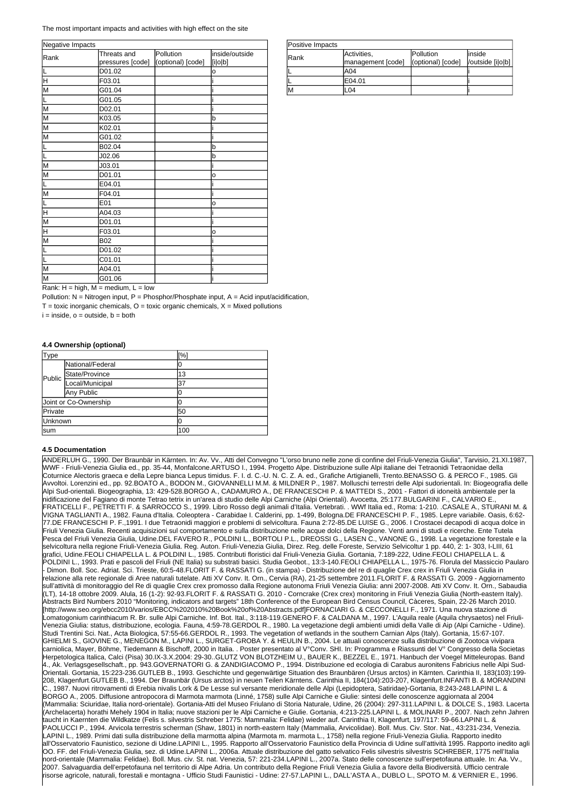| Type    |                       | [%] |
|---------|-----------------------|-----|
| Public  | National/Federal      | O   |
|         | State/Province        | 13  |
|         | Local/Municipal       | 37  |
|         | Any Public            |     |
|         | Joint or Co-Ownership |     |
| Private |                       | 50  |
| Unknown |                       |     |
| lsum    |                       | 100 |

| Positive Impacts |                   |                   |                  |
|------------------|-------------------|-------------------|------------------|
| lRank            | Activities,       | <b>IPollution</b> | linside          |
|                  | management [code] | (optional) [code] | /outside [i o b] |
|                  | A04               |                   |                  |
|                  | E04.01            |                   |                  |
|                  | -04               |                   |                  |

Rank:  $H = high$ ,  $M = medium$ ,  $L = low$ 

Pollution:  $N =$  Nitrogen input,  $P =$  Phosphor/Phosphate input,  $A =$  Acid input/acidification,

 $T =$  toxic inorganic chemicals,  $O =$  toxic organic chemicals,  $X =$  Mixed pollutions

 $i = inside, o = outside, b = both$ 

| Threats and | Pollution                  | inside/outside    |  |
|-------------|----------------------------|-------------------|--|
|             |                            | [i o b]           |  |
|             |                            | o                 |  |
| F03.01      |                            |                   |  |
| G01.04      |                            |                   |  |
| G01.05      |                            |                   |  |
| D02.01      |                            |                   |  |
| K03.05      |                            | b                 |  |
| K02.01      |                            |                   |  |
| G01.02      |                            |                   |  |
| B02.04      |                            | b                 |  |
| J02.06      |                            | b                 |  |
| J03.01      |                            |                   |  |
| D01.01      |                            | о                 |  |
| E04.01      |                            |                   |  |
| F04.01      |                            |                   |  |
| E01         |                            | o                 |  |
| A04.03      |                            |                   |  |
| D01.01      |                            |                   |  |
| F03.01      |                            | O                 |  |
| <b>B02</b>  |                            |                   |  |
| D01.02      |                            |                   |  |
| C01.01      |                            |                   |  |
| A04.01      |                            |                   |  |
| G01.06      |                            |                   |  |
|             | pressures [code]<br>D01.02 | (optional) [code] |  |

The most important impacts and activities with high effect on the site

### **4.4 Ownership (optional)**

#### **4.5 Documentation**

ANDERLUH G., 1990. Der Braunbär in Kärnten. In: Av. Vv., Atti del Convegno "L'orso bruno nelle zone di confine del Friuli-Venezia Giulia", Tarvisio, 21.XI.1987, WWF - Friuli-Venezia Giulia ed., pp. 35-44, Monfalcone.ARTUSO I., 1994. Progetto Alpe. Distribuzione sulle Alpi italiane dei Tetraonidi Tetraonidae della Coturnice Alectoris graeca e della Lepre bianca Lepus timidus. F. I. d. C.-U. N. C. Z. A. ed., Grafiche Artigianelli, Trento.BENASSO G. & PERCO F., 1985. Gli Avvoltoi. Lorenzini ed., pp. 92.BOATO A., BODON M., GIOVANNELLI M.M. & MILDNER P., 1987. Molluschi terrestri delle Alpi sudorientali. In: Biogeografia delle Alpi Sud-orientali. Biogeographia, 13: 429-528.BORGO A., CADAMURO A., DE FRANCESCHI P. & MATTEDI S., 2001 - Fattori di idoneità ambientale per la nidificazione del Fagiano di monte Tetrao tetrix in un'area di studio delle Alpi Carniche (Alpi Orientali). Avocetta, 25:177.BULGARINI F., CALVARIO E., FRATICELLI F., PETRETTI F. & SARROCCO S., 1999. Libro Rosso degli animali d'Italia. Vertebrati. . WWf Italia ed., Roma: 1-210. .CASALE A., STURANI M. & VIGNA TAGLIANTI A., 1982. Fauna d'Italia. Coleoptera - Carabidae I. Calderini, pp. 1-499, Bologna.DE FRANCESCHI P. F., 1985. Lepre variabile. Oasis, 6:62- 77.DE FRANCESCHI P. F.,1991. I due Tetraonidi maggiori e problemi di selvicoltura. Fauna 2:72-85.DE LUISE G., 2006. I Crostacei decapodi di acqua dolce in Friuli Venezia Giulia. Recenti acquisizioni sul comportamento e sulla distribuzione nelle acque dolci della Regione. Venti anni di studi e ricerche. Ente Tutela Pesca del Friuli Venezia Giulia, Udine.DEL FAVERO R., POLDINI L., BORTOLI P.L., DREOSSI G., LASEN C., VANONE G., 1998. La vegetazione forestale e la selvicoltura nella regione Friuli-Venezia Giulia. Reg. Auton. Friuli-Venezia Giulia, Direz. Reg. delle Foreste, Servizio Selvicoltur 1 pp. 440, 2: 1- 303, I-LIII, 61 grafici, Udine.FEOLI CHIAPELLA L. & POLDINI L., 1985. Contributi floristici dal Friuli-Venezia Giulia. Gortania, 7:189-222, Udine.FEOLI CHIAPELLA L. & POLDINI L., 1993. Prati e pascoli del Friuli (NE Italia) su substrati basici. Studia Geobot., 13:3-140.FEOLI CHIAPELLA L., 1975-76. Florula del Massiccio Paularo Dimon. Boll. Soc. Adriat. Sci. Trieste, 60:5-48.FLORIT F. & RASSATI G. (in stampa) - Distribuzione del re di quaglie Crex crex in Friuli Venezia Giulia in relazione alla rete regionale di Aree naturali tutelate. Atti XV Conv. It. Orn., Cervia (RA), 21-25 settembre 2011.FLORIT F. & RASSATI G. 2009 - Aggiornamento sull'attività di monitoraggio del Re di quaglie Crex crex promosso dalla Regione autonoma Friuli Venezia Giulia: anni 2007-2008. Atti XV Conv. It. Orn., Sabaudia (LT), 14-18 ottobre 2009. Alula, 16 (1-2): 92-93.FLORIT F. & RASSATI G. 2010 - Corncrake (Crex crex) monitoring in Friuli Venezia Giulia (North-eastern Italy). Abstracts Bird Numbers 2010 "Monitoring, indicators and targets" 18th Conference of the European Bird Census Council, Càceres, Spain, 22-26 March 2010. [http://www.seo.org/ebcc2010/varios/EBCC%202010%20Book%20of%20Abstracts.pdf]FORNACIARI G. & CECCONELLI F., 1971. Una nuova stazione di Lomatogonium carinthiacum R. Br. sulle Alpi Carniche. Inf. Bot. Ital., 3:118-119.GENERO F. & CALDANA M., 1997. L'Aquila reale (Aquila chrysaetos) nel Friuli-Venezia Giulia: status, distribuzione, ecologia. Fauna, 4:59-78.GERDOL R., 1980. La vegetazione degli ambienti umidi della Valle di Aip (Alpi Carniche - Udine). Studi Trentini Sci. Nat., Acta Biologica, 57:55-66.GERDOL R., 1993. The vegetation of wetlands in the southern Carnian Alps (Italy). Gortania, 15:67-107. GHIELMI S., GIOVINE G., MENEGON M., LAPINI L., SURGET-GROBA Y. & HEULIN B., 2004. Le attuali conoscenze sulla distribuzione di Zootoca vivipara carniolica, Mayer, Böhme, Tiedemann & Bischoff, 2000 in Italia. . Poster presentato al V°Conv. SHI. In: Programma e Riassunti del V° Congresso della Societas Herpetologica Italica, Calci (Pisa) 30.IX-3.X.2004: 29-30..GLUTZ VON BLOTZHEIM U., BAUER K., BEZZEL E., 1971. Hanbuch der Voegel Mitteleuropas. Band 4., Ak. Verlagsgesellschaft., pp. 943.GOVERNATORI G. & ZANDIGIACOMO P., 1994. Distribuzione ed ecologia di Carabus auronitens Fabricius nelle Alpi Sud-Orientali. Gortania, 15:223-236.GUTLEB B., 1993. Geschichte und gegenwärtige Situation des Braunbären (Ursus arctos) in Kärnten. Carinthia II, 183(103):199- 208, Klagenfurt.GUTLEB B., 1994. Der Braunbär (Ursus arctos) in neuen Teilen Kärntens. Carinthia II, 184(104):203-207, Klagenfurt.INFANTI B. & MORANDINI C., 1987. Nuovi ritrovamenti di Erebia nivalis Lork & De Lesse sul versante meridionale delle Alpi (Lepidoptera, Satiridae)-Gortania, 8:243-248.LAPINI L. & BORGO A., 2005. Diffusione antropocora di Marmota marmota (Linné, 1758) sulle Alpi Carniche e Giulie: sintesi delle conoscenze aggiornata al 2004 (Mammalia: Sciuridae, Italia nord-orientale). Gortania-Atti del Museo Friulano di Storia Naturale, Udine, 26 (2004): 297-311.LAPINI L. & DOLCE S., 1983. Lacerta (Archelacerta) horathi Mehely 1904 in Italia; nuove stazioni per le Alpi Carniche e Giulie. Gortania, 4:213-225.LAPINI L. & MOLINARI P., 2007. Nach zehn Jahren taucht in Kaernten die Wildkatze (Felis s. silvestris Schreber 1775: Mammalia: Felidae) wieder auf. Carinthia II, Klagenfurt, 197/117: 59-66.LAPINI L. & PAOLUCCI P., 1994. Arvicola terrestris scherman (Shaw, 1801) in north-eastern Italy (Mammalia, Arvicolidae). Boll. Mus. Civ. Stor. Nat., 43:231-234, Venezia. LAPINI L., 1989. Primi dati sulla distribuzione della marmotta alpina (Marmota m. marmota L., 1758) nella regione Friuli-Venezia Giulia. Rapporto inedito all'Osservatorio Faunistico, sezione di Udine.LAPINI L., 1995. Rapporto all'Osservatorio Faunistico della Provincia di Udine sull'attività 1995. Rapporto inedito agli OO. FF. del Friuli-Venezia Giulia, sez. di Udine.LAPINI L., 2006a. Attuale distribuzione del gatto selvatico Felis silvestris silvestris SCHREBER, 1775 nell'Italia nord-orientale (Mammalia: Felidae). Boll. Mus. civ. St. nat. Venezia, 57: 221-234.LAPINI L., 2007a. Stato delle conoscenze sull'erpetofauna attuale. In: Aa. Vv., 2007. Salvaguardia dell'erpetofauna nel territorio di Alpe Adria. Un contributo della Regione Friuli Venezia Giulia a favore della Biodiversità. Ufficio centrale risorse agricole, naturali, forestali e montagna - Ufficio Studi Faunistici - Udine: 27-57.LAPINI L., DALL'ASTA A., DUBLO L., SPOTO M. & VERNIER E., 1996.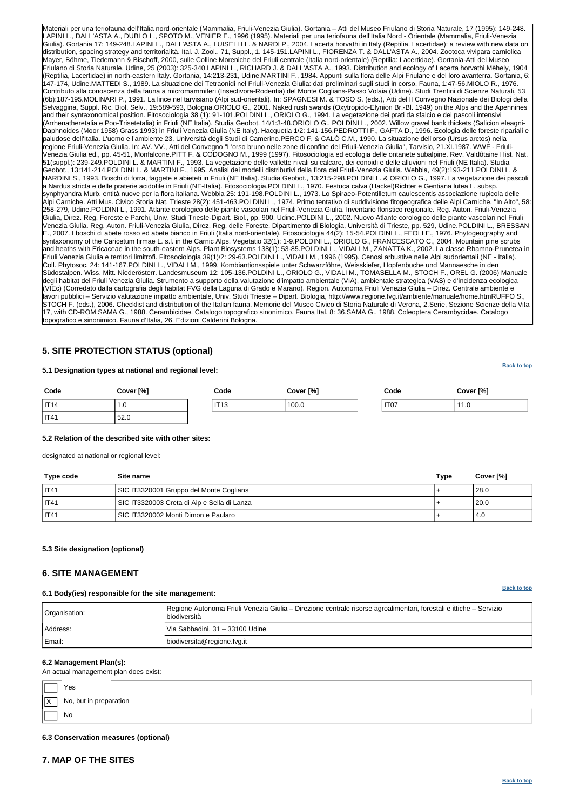

**[Back to top](#page-0-0)**

**[Back to top](#page-0-0)**

Materiali per una teriofauna dell'Italia nord-orientale (Mammalia, Friuli-Venezia Giulia). Gortania – Atti del Museo Friulano di Storia Naturale, 17 (1995): 149-248. LAPINI L., DALL'ASTA A., DUBLO L., SPOTO M., VENIER E., 1996 (1995). Materiali per una teriofauna dell'Italia Nord - Orientale (Mammalia, Friuli-Venezia Giulia). Gortania 17: 149-248.LAPINI L., DALL'ASTA A., LUISELLI L. & NARDI P., 2004. Lacerta horvathi in Italy (Reptilia. Lacertidae): a review with new data on distribution, spacing strategy and territorialità. Ital. J. Zool., 71, Suppl., 1. 145-151.LAPINI L., FIORENZA T. & DALL'ASTA A., 2004. Zootoca vivipara carniolica Mayer, Böhme, Tiedemann & Bischoff, 2000, sulle Colline Moreniche del Friuli centrale (Italia nord-orientale) (Reptilia: Lacertidae). Gortania-Atti del Museo Friulano di Storia Naturale, Udine, 25 (2003): 325-340.LAPINI L., RICHARD J. & DALL'ASTA A., 1993. Distribution and ecology of Lacerta horvathi Mèhely, 1904 (Reptilia, Lacertidae) in north-eastern Italy. Gortania, 14:213-231, Udine.MARTINI F., 1984. Appunti sulla flora delle Alpi Friulane e del loro avanterra. Gortania, 6: 147-174, Udine.MATTEDI S., 1989. La situazione dei Tetraonidi nel Friuli-Venezia Giulia: dati preliminari sugli studi in corso. Fauna, 1:47-56.MIOLO R., 1976. Contributo alla conoscenza della fauna a micromammiferi (Insectivora-Rodentia) del Monte Coglians-Passo Volaia (Udine). Studi Trentini di Scienze Naturali, 53 (6b):187-195.MOLINARI P., 1991. La lince nel tarvisiano (Alpi sud-orientali). In: SPAGNESI M. & TOSO S. (eds.), Atti del II Convegno Nazionale dei Biologi della Selvaggina, Suppl. Ric. Biol. Selv., 19:589-593, Bologna.ORIOLO G., 2001. Naked rush swards (Oxytropido-Elynion Br.-Bl. 1949) on the Alps and the Apennines and their syntaxonomical position. Fitosociologia 38 (1): 91-101.POLDINI L., ORIOLO G., 1994. La vegetazione dei prati da sfalcio e dei pascoli intensivi (Arrhenatheretalia e Poo-Trisetetalia) in Friuli (NE Italia). Studia Geobot. 14/1:3-48.ORIOLO G., POLDINI L., 2002. Willow gravel bank thickets (Salicion eleagni-Daphnoides (Moor 1958) Grass 1993) in Friuli Venezia Giulia (NE Italy). Hacquetia 1/2: 141-156.PEDROTTI F., GAFTA D., 1996. Ecologia delle foreste ripariali e paludose dell'Italia. L'uomo e l'ambiente 23, Università degli Studi di Camerino.PERCO F. & CALÒ C.M., 1990. La situazione dell'orso (Ursus arctos) nella regione Friuli-Venezia Giulia. In: AV. VV., Atti del Convegno "L'orso bruno nelle zone di confine del Friuli-Venezia Giulia", Tarvisio, 21.XI.1987. WWF - Friuli-Venezia Giulia ed., pp. 45-51, Monfalcone.PITT F. & CODOGNO M., 1999 (1997). Fitosociologia ed ecologia delle ontanete subalpine. Rev. Valdôtaine Hist. Nat. 51(suppl.): 239-249.POLDINI L. & MARTINI F., 1993. La vegetazione delle vallette nivali su calcare, dei conoidi e delle alluvioni nel Friuli (NE Italia). Studia Geobot., 13:141-214.POLDINI L. & MARTINI F., 1995. Analisi dei modelli distributivi della flora del Friuli-Venezia Giulia. Webbia, 49(2):193-211.POLDINI L. & NARDINI S., 1993. Boschi di forra, faggete e abieteti in Friuli (NE Italia). Studia Geobot., 13:215-298.POLDINI L. & ORIOLO G., 1997. La vegetazione dei pascoli a Nardus stricta e delle praterie acidofile in Friuli (NE-Italia). Fitosociologia.POLDINI L., 1970. Festuca calva (Hackel)Richter e Gentiana lutea L. subsp. synphyandra Murb. entità nuove per la flora italiana. Webbia 25: 191-198.POLDINI L., 1973. Lo Spiraeo-Potentilletum caulescentis associazione rupicola delle Alpi Carniche. Atti Mus. Civico Storia Nat. Trieste 28(2): 451-463.POLDINI L., 1974. Primo tentativo di suddivisione fitogeografica delle Alpi Carniche. "In Alto", 58: 258-279, Udine.POLDINI L., 1991. Atlante corologico delle piante vascolari nel Friuli-Venezia Giulia. Inventario floristico regionale. Reg. Auton. Friuli-Venezia Giulia, Direz. Reg. Foreste e Parchi, Univ. Studi Trieste-Dipart. Biol., pp. 900, Udine.POLDINI L., 2002. Nuovo Atlante corologico delle piante vascolari nel Friuli Venezia Giulia. Reg. Auton. Friuli-Venezia Giulia, Direz. Reg. delle Foreste, Dipartimento di Biologia, Università di Trieste, pp. 529, Udine.POLDINI L., BRESSAN E., 2007. I boschi di abete rosso ed abete bianco in Friuli (Italia nord-orientale). Fitosociologia 44(2): 15-54.POLDINI L., FEOLI E., 1976. Phytogeography and syntaxonomy of the Caricetum firmae L. s.l. in the Carnic Alps. Vegetatio 32(1): 1-9.POLDINI L., ORIOLO G., FRANCESCATO C., 2004. Mountain pine scrubs and heaths with Ericaceae in the south-eastern Alps. Plant Biosystems 138(1): 53-85.POLDINI L., VIDALI M., ZANATTA K., 2002. La classe Rhamno-Prunetea in Friuli Venezia Giulia e territori limitrofi. Fitosociologia 39(1)/2: 29-63.POLDINI L., VIDALI M., 1996 (1995). Cenosi arbustive nelle Alpi sudorientali (NE - Italia). Coll. Phytosoc. 24: 141-167.POLDINI L., VIDALI M., 1999. Kombiantionsspiele unter Schwarzföhre, Weisskiefer, Hopfenbuche und Mannaesche in den Südostalpen. Wiss. Mitt. Niederösterr. Landesmuseum 12: 105-136.POLDINI L., ORIOLO G., VIDALI M., TOMASELLA M., STOCH F., OREL G. (2006) Manuale degli habitat del Friuli Venezia Giulia. Strumento a supporto della valutazione d'impatto ambientale (VIA), ambientale strategica (VAS) e d'incidenza ecologica (VIEc) (Corredato dalla cartografia degli habitat FVG della Laguna di Grado e Marano). Region. Autonoma Friuli Venezia Giulia – Direz. Centrale ambiente e lavori pubblici – Servizio valutazione impatto ambientale, Univ. Studi Trieste – Dipart. Biologia, http://www.regione.fvg.it/ambiente/manuale/home.htmRUFFO S., STOCH F. (eds.), 2006. Checklist and distribution of the Italian fauna. Memorie del Museo Civico di Storia Naturale di Verona, 2.Serie, Sezione Scienze della Vita 17, with CD-ROM.SAMA G., 1988. Cerambicidae. Catalogo topografico sinonimico. Fauna Ital. 8: 36.SAMA G., 1988. Coleoptera Cerambycidae. Catalogo topografico e sinonimico. Fauna d'Italia, 26. Edizioni Calderini Bologna.

|                   | Yes                    |
|-------------------|------------------------|
| $\vert$ X $\vert$ | No, but in preparation |
|                   | No                     |

# <span id="page-6-0"></span>**5. SITE PROTECTION STATUS (optional)**

### **5.1 Designation types at national and regional level:**

| Code        | Cover [%] | Code         | Cover [%] | Code                     | Cover [%]    |
|-------------|-----------|--------------|-----------|--------------------------|--------------|
| IT14        | 1. U      | ITAC<br>1113 | 100.0     | ITO <sub>2</sub><br>1101 | 110<br>ט. רו |
| <b>IT41</b> | 52.0      |              |           |                          |              |

## **5.2 Relation of the described site with other sites:**

designated at national or regional level:

| Type code | Site name                                   | <b>Type</b> | Cover [%] |
|-----------|---------------------------------------------|-------------|-----------|
| IT41      | SIC IT3320001 Gruppo del Monte Coglians     |             | 28.0      |
| IT41      | SIC IT3320003 Creta di Aip e Sella di Lanza |             | 20.0      |
| IT41      | SIC IT3320002 Monti Dimon e Paularo         |             | l 4.0     |

<span id="page-6-1"></span>**5.3 Site designation (optional)**

# **6. SITE MANAGEMENT**

**6.1 Body(ies) responsible for the site management:**

Regione Autonoma Friuli Venezia Giulia – Direzione centrale risorse agroalimentari, forestali e ittiche – Servizio

| Organisation: | biodiversità                    |
|---------------|---------------------------------|
| Address:      | Via Sabbadini, 31 - 33100 Udine |
| Email:        | biodiversita@regione.fvg.it     |

#### **6.2 Management Plan(s):**

An actual management plan does exist:

**6.3 Conservation measures (optional)**

<span id="page-6-2"></span>**7. MAP OF THE SITES**